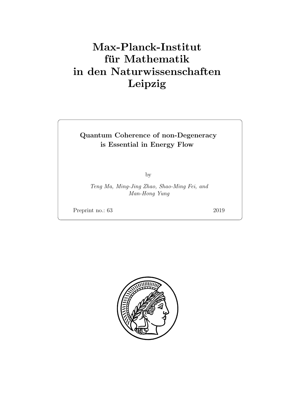# Max-Planck-Institut für Mathematik in den Naturwissenschaften Leipzig

## Quantum Coherence of non-Degeneracy is Essential in Energy Flow

by

Teng Ma, Ming-Jing Zhao, Shao-Ming Fei, and Man-Hong Yung

Preprint no.: 63 2019

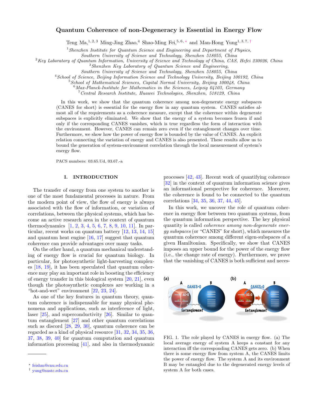#### Quantum Coherence of non-Degeneracy is Essential in Energy Flow

Teng Ma,<sup>1, 2, 3</sup> Ming-Jing Zhao,<sup>4</sup> Shao-Ming Fei,<sup>5, 6, \*</sup> and Man-Hong Yung<sup>1, 3, 7, [†](#page-2-1)</sup>

 $1$ Shenzhen Institute for Quantum Science and Engineering and Department of Physics,

Southern University of Science and Technology, Shenzhen 518055, China

<sup>2</sup>Key Laboratory of Quantum Information, University of Science and Technology of China, CAS, Hefei 230026, China

<sup>3</sup>Shenzhen Key Laboratory of Quantum Science and Engineering,

Southern University of Science and Technology, Shenzhen 518055, China

<sup>4</sup> School of Science, Beijing Information Science and Technology University, Beijing 100192, China

<sup>5</sup>School of Mathematical Sciences, Capital Normal University, Beijing 100048, China

 $6$ Max-Planck-Institute for Mathematics in the Sciences, Leipzig 04103, Germany

<sup>7</sup>Central Research Institute, Huawei Technologies, Shenzhen, 518129, China

In this work, we show that the quantum coherence among non-degenerate energy subspaces (CANES for short) is essential for the energy flow in any quantum system. CANES satisfies almost all of the requirements as a coherence measure, except that the coherence within degenerate subspaces is explicitly eliminated. We show that the energy of a system becomes frozen if and only if the corresponding CANES vanishes, which is true regardless the form of interaction with the environment. However, CANES can remain zero even if the entanglement changes over time. Furthermore, we show how the power of energy flow is bounded by the value of CANES. An explicit relation connecting the variation of energy and CANES is also presented. These results allow us to bound the generation of system-environment correlation through the local measurement of system's energy flow.

PACS numbers: 03.65.Ud, 03.67.-a

#### I. INTRODUCTION

The transfer of energy from one system to another is one of the most fundamental processes in nature. From the modern point of view, the flow of energy is always associated with the flow of information, or variation of correlations, between the physical systems, which has become an active research area in the context of quantum thermodynamics [\[1,](#page-9-0) [2,](#page-9-1) [3,](#page-9-2) [4,](#page-9-3) [5,](#page-9-4) [6,](#page-9-5) [7,](#page-9-6) [8,](#page-9-7) [9,](#page-9-8) [10,](#page-9-9) [11\]](#page-9-10). In particular, recent works on quantum battery [\[12,](#page-9-11) [13,](#page-9-12) [14,](#page-9-13) [15\]](#page-9-14) and quantum heat engine  $[16, 17]$  $[16, 17]$  $[16, 17]$  suggest that quantum coherence can provide advantages over many tasks.

On the other hand, a quantum mechanical understanding of energy flow is crucial for quantum biology. In particular, for photosynthetic light-harvesting complexes [\[18,](#page-9-17) [19\]](#page-9-18), it has been speculated that quantum coherence may play an important role in boosting the efficiency of energy transfer in this biological system [\[20,](#page-9-19) [21\]](#page-9-20), even though the photosynthetic complexes are working in a "hot-and-wet" environment [\[22,](#page-9-21) [23,](#page-10-0) [24\]](#page-10-1).

As one of the key features in quantum theory, quantum coherence is indispensable for many physical phenomena and applications, such as interference of light, laser [\[25\]](#page-10-2), and superconductivity [\[26\]](#page-10-3). Similar to quantum entanglement [\[27\]](#page-10-4) and other quantum correlations such as discord [\[28,](#page-10-5) [29,](#page-10-6) [30\]](#page-10-7), quantum coherence can be regarded as a kind of physical resource [\[31,](#page-10-8) [32,](#page-10-9) [34,](#page-10-10) [35,](#page-10-11) [36,](#page-10-12) [37,](#page-10-13) [38,](#page-10-14) [39,](#page-10-15) [40\]](#page-10-16) for quantum computation and quantum information processing [\[41\]](#page-10-17), and also in thermodynamic

processes [\[42,](#page-10-18) [43\]](#page-10-19). Recent work of quantifying coherence [\[32\]](#page-10-9) in the context of quantum information science gives an informational perspective for coherence. Moreover, the coherence is found to be connected to the quantum correlations [\[34,](#page-10-10) [35,](#page-10-11) [36,](#page-10-12) [37,](#page-10-13) [44,](#page-10-20) [45\]](#page-10-21).

In this work, we uncover the role of quantum coherence in energy flow between two quantum systems, from the quantum information perspective. The key physical quantity is called coherence among non-degenerate energy subspaces (or "CANES" for short), which measures the quantum coherence among different eigen-subspaces of a given Hamiltonian. Specifically, we show that CANES imposes an upper bound for the power of the energy flow (i.e., the change rate of energy). Furthermore, we prove that the vanishing of CANES is both sufficient and neces-

### FIG. 1. The role played by CANES in energy flow. (a) The local average energy of system A keeps a constant for any interaction iff the corresponding CANES gets zero. (b) When there is some energy flow from system A, the CANES limits the power of energy flow. The system A and its environment B may be entangled due to the degenerated energy levels of system A for both cases.



<span id="page-2-0"></span><sup>∗</sup> [feishm@cnu.edu.cn](mailto:feishm@cnu.edu.cn)

<span id="page-2-1"></span><sup>†</sup> [yung@sustc.edu.cn](mailto:yung@sustc.edu.cn)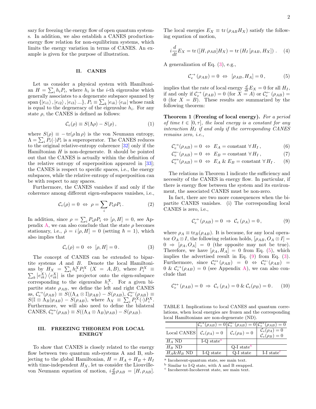sary for freezing the energy flow of open quantum systems. In addition, we also establish a CANES productionenergy flow relation for non-equilibrium systems, which limits the energy variation in terms of CANES. An example is given for the purpose of illustration.

#### II. CANES

Let us consider a physical system with Hamiltonian  $H = \sum_i h_i P_i$ , where  $h_i$  is the *i*-th eigenvalue which generally associates to a degenerate subspace spanned by span  $\{|e_{i1}\rangle$  ,  $|e_{i2}\rangle$  ,  $|e_{i3}\rangle$  ...},  $P_i \equiv \sum_k |e_{ik}\rangle \langle e_{ik}|$  whose rank is equal to the degeneracy of the eigenvalue  $h_i$ . For any state  $\rho$ , the CANES is defined as follows:

$$
\mathcal{C}_e(\rho) \equiv S(\Lambda \rho) - S(\rho) \,, \tag{1}
$$

where  $S(\rho) \equiv -\operatorname{tr}(\rho \ln \rho)$  is the von Neumann entropy,  $\Lambda = \sum_i P_i(\cdot) P_i$  is a superoperator. The CANES reduces to the original relative-entropy coherence [\[32\]](#page-10-9) only if the Hamiltonian  $H$  is non-degenerate. It should be pointed out that the CANES is actually within the definition of the relative entropy of superposition appeared in [\[33\]](#page-10-22); the CANES is respect to specific spaces, i.e., the energy subspaces, while the relative entropy of superposition can be with respect to any spaces.

Furthermore, the CANES vanishes if and only if the coherence among different eigen-subspaces vanishes, i.e.,

$$
\mathcal{C}_e(\rho) = 0 \Leftrightarrow \rho = \sum_i P_i \rho P_i. \tag{2}
$$

In addition, since  $\rho = \sum_i P_i \rho_i \Leftrightarrow [\rho, H] = 0$ , see Ap-pendix [A,](#page-6-0) we can also conclude that the state  $\rho$  becomes stationary, i.e.,  $\dot{\rho} = i [\rho, H] = 0$  (setting  $\hbar = 1$ ), which also implies that

<span id="page-3-0"></span>
$$
\mathcal{C}_e(\rho) = 0 \iff [\rho, H] = 0. \tag{3}
$$

The concept of CANES can be extended to bipartite systems A and B. Denote the local Hamiltonians by  $H_X = \sum_i h_i^X P_i^X$   $(X = A, B)$ , where  $P_i^X \equiv$  $\sum_{k} |e_{ik}^{X}\rangle \langle e_{ik}^{X}|$  is the projector onto the eigen-subspace corresponding to the eigenvalue  $h_i^X$ . For a given bipartite state  $\rho_{AB}$ , we define the left and right CANES as,  $\mathcal{C}_e^{\rightarrow}(\rho_{AB}) \equiv S((\Lambda_A \otimes \mathbb{I})\rho_{AB}) - S(\rho_{AB}), \ \mathcal{C}_e^{\leftarrow}(\rho_{AB}) \equiv$  $S(\mathbb{I} \otimes \Lambda_B)\rho_{AB}) - S(\rho_{AB}),$  where  $\Lambda_X \equiv \sum_i P_i^X(\cdot)P_i^X$ . Furthermore, we will also need to define the bilateral CANES,  $C_e^{\leftrightarrow}(\rho_{AB}) \equiv S((\Lambda_A \otimes \Lambda_B)\rho_{AB}) - S(\rho_{AB}).$ 

#### III. FREEZING THEOREM FOR LOCAL ENERGY

To show that CANES is closely related to the energy flow between two quantum sub-systems A and B, subjecting to the global Hamiltonian,  $H = H_A + H_B + H_I$ with time-independent  $H_X$ , let us consider the Liouvillevon Neumann equation of motion,  $i \frac{d}{dt} \rho_{AB} = [H, \rho_{AB}].$ 

The local energies  $E_X \equiv \text{tr}(\rho_{AB}H_X)$  satisfy the following equation of motion,

<span id="page-3-8"></span>
$$
i\frac{d}{dt}E_X = \text{tr}([H, \rho_{AB}]H_X) = \text{tr}(H_I[\rho_{AB}, H_X]). \quad (4)
$$

A generalization of Eq. [\(3\)](#page-3-0), e.g.,

<span id="page-3-1"></span>
$$
\mathcal{C}_e^{\to}(\rho_{AB}) = 0 \Leftrightarrow [\rho_{AB}, H_A] = 0, \tag{5}
$$

implies that the rate of local energy  $\frac{d}{dt}E_X = 0$  for all  $H_I$ , if and only if  $C_e^{\to}(\rho_{AB}) = 0$  (for  $X = A$ ) or  $C_e^{\leftarrow}(\rho_{AB}) =$ 0 (for  $X = B$ ). These results are summarized by the following theorem:

<span id="page-3-9"></span>Theorem 1 (Freezing of local energy). For a period of time  $t \in [0, \tau]$ , the local energy is a constant for any interaction  $H_I$  if and only if the corresponding CANES remains zero, i.e.,

<span id="page-3-7"></span>
$$
\mathcal{C}_e^{\to}(\rho_{AB}) = 0 \Leftrightarrow E_A = \text{constant} \,\,\forall H_I \,, \tag{6}
$$

$$
\mathcal{C}_e^{\leftarrow}(\rho_{AB}) = 0 \Leftrightarrow E_B = \text{constant} \,\forall H_I \,, \tag{7}
$$

$$
\mathcal{C}_e^{\leftrightarrow}(\rho_{AB}) = 0 \Leftrightarrow E_A \& E_B = \text{constant} \,\forall H_I. \tag{8}
$$

The relations in Theorem 1 indicate the sufficiency and necessity of the CANES in energy flow. In particular, if there is energy flow between the system and its environment, the associated CANES must be non-zero.

In fact, there are two more consequences when the bipartite CANES vanishes. (i) The corresponding local CANES is zero, i.e.,

<span id="page-3-2"></span>
$$
\mathcal{C}_e^{\to}(\rho_{AB}) = 0 \Rightarrow \mathcal{C}_e(\rho_A) = 0, \tag{9}
$$

where  $\rho_A \equiv \text{tr}_B(\rho_{AB})$ . It is because, for any local operator  $O_A \otimes I$ , the following relation holds,  $[\rho_{AB}, O_A \otimes I] =$  $0 \Rightarrow [\rho_A, O_A] = 0$  (the opposite may not be true). Therefore, we have  $[\rho_A, H_A] = 0$  from Eq. [\(5\)](#page-3-1), which implies the advertised result in Eq. [\(9\)](#page-3-2) from Eq. [\(3\)](#page-3-0). Furthermore, since  $\mathcal{C}_e^{\leftrightarrow}(\rho_{AB}) = 0 \Leftrightarrow \mathcal{C}_e^{\leftarrow}(\rho_{AB}) =$  $0 \& \mathcal{C}_e^{\rightarrow}(\rho_{AB}) = 0$  (see Appendix [A\)](#page-6-0), we can also conclude that

$$
\mathcal{C}_e^{\leftrightarrow}(\rho_{AB}) = 0 \Rightarrow \mathcal{C}_e(\rho_A) = 0 \& \mathcal{C}_e(\rho_B) = 0. \quad (10)
$$

<span id="page-3-6"></span>TABLE I. Implications to local CANES and quantum correlations, when local energies are frozen and the corresponding local Hamiltonians are non-degenerate (ND).

|                                                                     |                      | $\mathcal{C}_{e}^{\rightarrow}(\rho_{AB})=0\mathcal{C}_{e}^{\leftarrow}(\rho_{AB})=0\mathcal{C}_{e}^{\leftrightarrow}(\rho_{AB})=0$ |                           |
|---------------------------------------------------------------------|----------------------|-------------------------------------------------------------------------------------------------------------------------------------|---------------------------|
| Local CANES $\mathcal{C}_e(\rho_A) = 0$ $\mathcal{C}_e(\rho_B) = 0$ |                      |                                                                                                                                     | $\mathcal{C}_e(\rho_A)=0$ |
|                                                                     |                      |                                                                                                                                     | $\mathcal{C}_e(\rho_B)=0$ |
| $H_A$ ND                                                            | I-Q state $^{\rm a}$ |                                                                                                                                     |                           |
| $H_R$ ND                                                            |                      | $Q-I stateb$                                                                                                                        |                           |
| $H_A \& H_B$ ND                                                     | I-Q state            | Q-I state                                                                                                                           | I-I state <sup>c</sup>    |

<span id="page-3-3"></span>a Incoherent-quantum state, see main text.

<span id="page-3-5"></span><span id="page-3-4"></span><sup>b</sup> Similar to I-Q state, with A and B swapped.

c Incoherent-Incoherent state, see main text.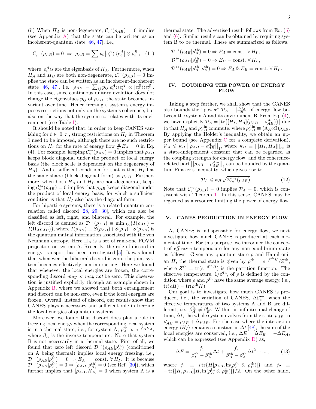(ii) When  $H_A$  is non-degenerate,  $C_e^{\rightarrow}(\rho_{AB}) = 0$  implies (see Appendix [A\)](#page-6-0) that the state can be written as an incoherent-quantum state [\[46,](#page-10-23) [47\]](#page-10-24), i.e.,

$$
\mathcal{C}_e^{\to}(\rho_{AB}) = 0 \Rightarrow \rho_{AB} = \sum_i p_i \left| e_i^A \right\rangle \left\langle e_i^A \right| \otimes \rho_i^B, \quad (11)
$$

where  $|e_i^A\rangle$ s are the eigenbasis of  $H_A$ . Furthermore, when  $H_A$  and  $H_B$  are both non-degenerate,  $C_e^{\leftrightarrow}(\rho_{AB}) = 0$  implies the state can be written as an incoherent-incoherent state [\[46,](#page-10-23) [47\]](#page-10-24), i.e.,  $\rho_{AB} = \sum_{ij} p_{ij} |e_i^A\rangle\langle e_i^A| \otimes |e_j^B\rangle\langle e_j^B|$ . In this case, since continuous unitary evolution does not change the eigenvalues  $p_{ij}$  of  $\rho_{AB}$ , the state becomes invariant over time. Hence freezing a system's energy imposes restrictions not only on the system's coherence, but also on the way that the system correlates with its environment (see Table [I\)](#page-3-6).

It should be noted that, in order to keep CANES vanishing for  $t \in [0, \tau]$ , strong restrictions on  $H_I$  in Theorem 1 need to be imposed, although there are no such restrictions on  $H_I$  for the rate of energy flow  $\frac{d}{dt}E_X = 0$  in Eq. (4). For example, keeping  $C_e^{\rightarrow}(\rho_{AB})=0$  implies that  $\rho_{AB}$ keeps block diagonal under the product of local energy basis (the block scale is dependent on the degeneracy of  $H_A$ ). And a sufficient condition for that is that  $H_I$  has the same shape (block diagonal form) as  $\rho_{AB}$ . Furthermore, when both  $H_A$  and  $H_B$  are non-degenerate, keeping  $C_e^{\leftrightarrow}(\rho_{AB}) = 0$  implies that  $\rho_{AB}$  keeps diagonal under the product of local energy basis, for which a sufficient condition is that  $H_I$  also has the diagonal form.

For bipartite systems, there is a related quantum correlation called discord [\[28,](#page-10-5) [29,](#page-10-6) [30\]](#page-10-7), which can also be classified as left, right, and bilateral. For example, the left discord is defined as  $\mathcal{D}^{\rightarrow}(\rho_{AB}) \equiv \min_{\Pi_A} \{ I(\rho_{AB}) I(\Pi_A \rho_{AB})\},$  where  $I(\rho_{AB}) \equiv S(\rho_{AB})+S(\rho_B)-S(\rho_{AB})$  is the quantum mutual information associated with the von Neumann entropy. Here  $\Pi_A$  is a set of rank-one POVM projectors on system A. Recently, the role of discord in energy transport has been investigated [\[5\]](#page-9-4). It was found that whenever the bilateral discord is zero, the joint system becomes effectively non-interacting. Here we found that whenever the local energies are frozen, the corresponding discord *may or may not* be zero. This observation is justified explicitly through an example shown in Appendix [B,](#page-7-0) where we showed that both entanglement and discord can be non-zero, even if the local energies are frozen. Overall, instead of discord, our results show that CANES plays a necessary and sufficient role in freezing the local energies of quantum systems.

Moreover, we found that discord does play a role in freezing local energy when the corresponding local system is in a thermal state, i.e., for system A,  $\rho_A^{\text{th}} \propto e^{-\beta_A H_A}$ , where  $\beta_A$  is the inverse temperature. Note that system B is not necessarily in a thermal state. First of all, we found that zero left discord  $\mathcal{D}^{\rightarrow}(\rho_{AB}|\rho^{\text{th}}_{A})$  (conditioned on A being thermal) implies local energy freezing, i.e.,  $\mathcal{D}^{\rightarrow}(\rho_{AB}|\rho_A^{\text{th}})=0 \Rightarrow E_A = \text{const.} \ \forall H_I$ . It is because  $\mathcal{D}^{\rightarrow}(\rho_{AB}|\rho_A^{\text{th}})=0 \Rightarrow [\rho_{AB},\rho_A^{\text{th}}]=0$  (see Ref. [\[30\]](#page-10-7)), which further implies that  $[\rho_{AB}, H_A] = 0$  when system A is a thermal state. The advertised result follows from Eq. [\(5\)](#page-3-1) and [\(6\)](#page-3-7). Similar results can be obtained by requiring system B to be thermal. These are summarized as follows.

$$
\mathcal{D}^{\rightarrow}(\rho_{AB}|\rho_A^{\text{th}}) = 0 \Rightarrow E_A = \text{const.} \,\forall H_I,
$$
  

$$
\mathcal{D}^{\leftarrow}(\rho_{AB}|\rho_B^{\text{th}}) = 0 \Rightarrow E_B = \text{const.} \,\forall H_I,
$$
  

$$
\mathcal{D}^{\leftrightarrow}(\rho_{AB}|\rho_A^{\text{th}}, \rho_B^{\text{th}}) = 0 \Rightarrow E_A \,\& E_B = \text{const.} \,\forall H_I.
$$

#### IV. BOUNDING THE POWER OF ENERGY FLOW

Taking a step further, we shall show that the CANES also bounds the "power"  $\mathcal{P}_A \equiv \left| \frac{dE_A}{dt} \right|$  of energy flow between the system A and its environment B. From Eq. [\(4\)](#page-3-8), we have explicitly  $\mathcal{P}_A = \left| \text{tr} \{ [H_I, H_A] (\rho_{AB} - \rho_{AB}^{A\text{in}}) \} \right|$  due to that  $H_A$  and  $\rho_{AB}^{A\text{in}}$  commute, where  $\rho_{AB}^{A\text{in}} \equiv (\Lambda_A \otimes \mathbb{I})\rho_{AB}$ . By applying the Hölder's inequality, we obtain an upper bound (see Appendix [C](#page-8-0) for a complete derivation),  $\mathcal{P}_A \leq \kappa_H \left| \left| \rho_{AB} - \rho_{AB}^{\text{Ain}} \right| \right|_1$ , where  $\kappa_H \equiv \left| \left[ H_I, H_A \right] \right| \right|_{\infty}$  is a state-independent constant that can be regarded as the coupling strength for energy flow, and the coherencerelated part  $\left|\rho_{AB} - \rho_{AB}^{A\text{in}}\right|$  can be bounded by the quantum Pinsker's inequality, which gives rise to

<span id="page-4-1"></span>
$$
\mathcal{P}_A \leq \kappa_H \sqrt{2 \mathcal{C}_e^{\to}(\rho_{AB})} \,. \tag{12}
$$

Note that  $C_e^{\to}(\rho_{AB}) = 0$  implies  $\mathcal{P}_A = 0$ , which is consistent with Theorem [1.](#page-3-9) In this sense, CANES may be regarded as a resource limiting the power of energy flow.

#### V. CANES PRODUCTION IN ENERGY FLOW

As CANES is indispensable for energy flow, we next investigate how much CANES is produced at each moment of time. For this purpose, we introduce the concept of effective temperature for any non-equilibrium state as follows. Given any quantum state  $\rho$  and Hamiltonian H, the thermal state is given by  $\rho^{\text{th}} = e^{-\beta^{\text{th}}H}/Z^{\text{th}}$ , where  $Z^{\text{th}} = \text{tr}(e^{-\beta^{\text{th}}H})$  is the partition function. The effective temperature,  $1/\beta^{th}$ , of  $\rho$  is defined by the condition where  $\rho$  and  $\rho^{\text{th}}$  have the same average energy, i.e.,  $tr(\rho H) = tr(\rho^{th} H).$ 

Our goal is to investigate how much CANES is produced, i.e., the variation of CANES,  $\Delta \mathcal{C}^{\leftrightarrow}_{e}$ , when the effective temperatures of two systems A and B are different, i.e.,  $\beta_A^{\text{th}} \neq \beta_B^{\text{th}}$ . Within an infinitesimal change of time,  $\Delta t$ , the whole system evolves from the state  $\rho_{AB}$  to  $\rho'_{AB} = \rho_{AB} + \Delta \rho_{AB}$ . For the case where the interaction energy  $\langle H_I \rangle$  remains a constant in  $\Delta t$  [\[48\]](#page-10-25), the sum of the local energies are conserved, i.e.,  $\Delta E = \Delta E_B = -\Delta E_A$ , which can be expressed (see Appendix [D\)](#page-8-1) as,

<span id="page-4-0"></span>
$$
\Delta E = \frac{f_1}{\beta_B^{\text{th}} - \beta_A^{\text{th}}} \Delta t + \frac{f_2}{\beta_B^{\text{th}} - \beta_A^{\text{th}}} \Delta t^2 + \dots,\tag{13}
$$

where  $f_1 \equiv i \text{tr} \{ H[\rho_{AB}, \ln(\rho_A^{\text{th}} \otimes \rho_B^{\text{th}})] \}$  and  $f_2 \equiv$  $-\text{tr}\{[H,\rho_{AB}][H,\ln(\rho_A^{\text{th}}\otimes\rho_B^{\text{th}})]\}/2$ . On the other hand,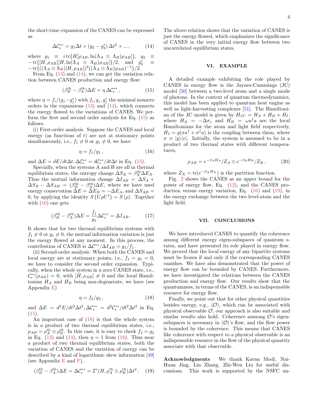the short-time expansion of the CANES can be expressed as

<span id="page-5-0"></span>
$$
\Delta \mathcal{C}_e^{\leftrightarrow} = g_1 \Delta t + (g_2 - g_2^r) \Delta t^2 + \dots,\tag{14}
$$

where  $g_1 \equiv i \text{tr} \{ H[\rho_{AB}, \ln(\Lambda_A \otimes \Lambda_B) \rho_{AB}] \}$ ,  $g_2 \equiv$  $-\operatorname{tr}\{[H,\rho_{AB}][H,\ln(\Lambda_A \otimes \Lambda_B)\rho_{AB}]\}/2$ , and  $g_2^r$  $\equiv$  $-\operatorname{tr}\{((\Lambda_A\otimes \Lambda_B)[H,\rho_{AB}])^2((\Lambda_A\otimes \Lambda_B)\rho_{AB})^{-1}\}/2.$ 

From Eq.  $(13)$  and  $(14)$ , we can get the variation relation between CANES production and energy flow:

<span id="page-5-1"></span>
$$
(\beta_B^{\text{th}} - \beta_A^{\text{th}})\Delta E = \eta \,\Delta \mathcal{C}_e^{\leftrightarrow} \,,\tag{15}
$$

where  $\eta = f_i/(g_j - g_j^r)$  with  $f_i, g_j, g_j^r$  the minimal nonzero orders in the expansions  $(13)$  and  $(14)$ , which connects the energy flowed to the variations of CANES. We perform the first and second order analysis for Eq. [\(15\)](#page-5-1) as follows.

(i) First-order analysis. Suppose the CANES and local energy (as functions of  $t$ ) are not at stationary points simultaneously, i.e.,  $f_1 \neq 0$  or  $g_1 \neq 0$ , we have

<span id="page-5-2"></span>
$$
\eta = f_1 / g_1 \,, \tag{16}
$$

and  $\Delta E = dE/dt \Delta t, \Delta C_e^{\leftrightarrow} = dC_e^{\leftrightarrow}/dt \Delta t$  in Eq. [\(15\)](#page-5-1).

Specially, when the systems A and B are all in thermal equilibrium states, the entropy change  $\Delta S_X = \beta_X^{\text{th}} \Delta E_X$ . Thus the mutual information change  $\Delta I_{AB} = \Delta S_A +$  $\Delta S_B - \Delta S_{AB} = (\beta_B^{\text{th}} - \beta_A^{\text{th}})\Delta E$ , where we have used energy conservation  $\Delta E = \Delta E_B = -\Delta E_A$ , and  $\Delta S_{AB} =$ 0, by applying the identity  $S(U\rho U^{\dagger}) = S(\rho)$ . Together with  $(16)$  one gets

$$
(\beta_B^{\text{th}} - \beta_A^{\text{th}})\Delta E = \frac{f_1}{g_1}\Delta C_e^{\leftrightarrow} = \Delta I_{AB} \,. \tag{17}
$$

It shows that for two thermal equilibrium systems with  $f_1 \neq 0$  or  $g_1 \neq 0$ , the mutual information variation is just the energy flowed at any moment. In this process, the contribution of CANES is  $\Delta C \rightarrow / \Delta I_{AB} = g_1/f_1$ .

(ii) Second-order analysis. When both the CANES and local energy are at stationary points, i.e.,  $f_1 = g_1 = 0$ , we have to consider the second order expansion. Typically, when the whole system in a zero CANES state, i.e.,  $\mathcal{C}^{\leftrightarrow}_e(\rho_{AB})=0$ , with  $[H, \rho_{AB}]\neq 0$  and the local Hamiltonian  $H_A$  and  $H_B$  being non-degenerate, we have (see Appendix [E\)](#page-9-22)

<span id="page-5-3"></span>
$$
\eta = f_2/g_2, \qquad (18)
$$

and  $\Delta E = d^2 E/dt^2 \Delta t^2$ ,  $\Delta C_e^{\leftrightarrow} = d^2 C_e^{\leftrightarrow}/dt^2 \Delta t^2$  in Eq.  $(15).$  $(15).$ 

An important case of [\(18\)](#page-5-3) is that the whole system is in a product of two thermal equilibrium states, i.e.,  $\rho_{AB} = \rho_A^{\text{th}} \otimes \rho_B^{\text{th}}$ . In this case, it is easy to check  $f_2 = g_2$ in Eq. [\(13\)](#page-4-0) and [\(14\)](#page-5-0), then  $\eta = 1$  from [\(18\)](#page-5-3). Thus near a product of two thermal equilibrium states, both the variation of CANES and the variation of energy can be described by a kind of logarithmic skew information [\[49\]](#page-10-26) (see Appendix  $E$  and  $F$ ),

<span id="page-5-4"></span>
$$
(\beta_B^{\text{th}} - \beta_A^{\text{th}})\Delta E = \Delta C_e^{\leftrightarrow} = \mathcal{I}^s(H, \rho_A^{\text{th}} \otimes \rho_B^{\text{th}})\Delta t^2. \quad (19)
$$

The above relation shows that the variation of CANES is just the energy flowed, which emphasizes the significance of CANES in the very initial energy flow between two uncorrelated equilibrium states.

#### VI. EXAMPLE

A detailed example exhibiting the role played by CANES in energy flow is the Jaynes-Cummings (JC) model [\[50\]](#page-10-27) between a two-level atom and a single mode of photons. In the context of quantum thermodynamics, this model has been applied to quantum heat engine as well as light-harvesting complexes [\[51\]](#page-10-28). The Hamiltonian of the JC model is given by  $H_{JC} = H_A + H_B + H_I$ . where  $H_A = -\Delta \sigma_z$  and  $H_B = \omega a^{\dagger} a$  are the local Hamiltonians for the atom and light field respectively,  $H_I = g(\sigma a^{\dagger} + \sigma^{\dagger} a)$  is the coupling between them, where  $\sigma \equiv |g\rangle\langle e|$ . Initially, the system is assumed to be in a product of two thermal states with different temperatures,

$$
\rho_{AB} = e^{-\beta_A H_A} / Z_A \otimes e^{-\beta_B H_B} / Z_B , \qquad (20)
$$

where  $Z_X = \text{tr}(e^{-\beta_X H_X})$  is the partition function.

Fig. [2](#page-6-1) shows the CANES as an upper bound for the power of energy flow, Eq. [\(12\)](#page-4-1), and the CANES production versus energy variation, Eq. [\(16\)](#page-5-2) and [\(19\)](#page-5-4), in the energy exchange between the two level-atom and the light field.

#### VII. CONCLUSIONS

We have introduced CANES to quantify the coherence among different energy eigen-subspaces of quantum states, and have presented its role played in energy flow. We proved that the local energy of any bipartite systems must be frozen if and only if the corresponding CANES vanishes. We have also demonstrated that the power of energy flow can be bounded by CANES. Furthermore, we have investigated the relations between the CANES production and energy flow. Our results show that the quantumness, in terms of the CANES, is an indispensable resource for energy flow.

Finally, we point out that for other physical quantities besides energy, e.g.,  $\langle \mathcal{O} \rangle$ , which can be associated with physical observable  $\mathcal{O}$ , our approach is also suitable and similar results also hold. Coherence amnong  $\mathcal{O}'$ 's eigensubspaces is necessary in  $\langle \mathcal{O} \rangle$ 's flow, and the flow power is bounded by the coherence. This means that CANES like coherence with respect to a physical observable is an indispensable resource in the flow of the physical quantity associate with that observable.

Acknowledgments We thank Kavan Modi, Nai-Huan Jing, Lin Zhang, Zhi-Wen Liu for useful discussions. This work is supported by the NSFC un-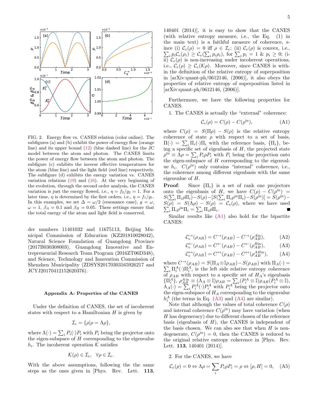

<span id="page-6-1"></span>FIG. 2. Energy flow vs. CANES relation (color online). The subfigures (a) and (b) exhibit the power of energy flow (orange line) and its upper bound [\(12\)](#page-4-1) (blue dashed line) for the JC model between the atom and photon. The CANES limits the power of energy flow between the atom and photon. The subfigure (c) exhibits the inverse effective temperatures for the atom (blue line) and the light field (red line) respectively. The subfigure (d) exhibits the energy variation vs. CANES variation relations  $(19)$  and  $(16)$ . At the very beginning of the evolution, through the second order analysis, the CANES variation is just the energy flowed, i.e.,  $\eta = f_2/g_2 = 1$ . For a later time,  $\eta$  is determined by the first orders, i.e.,  $\eta = f_1/g_1$ . In this examples, we set  $\Delta = \omega/2$  (resonance case),  $g = \omega$ ,  $\omega = 1, \beta_A = 0.1$  and  $\beta_B = 0.05$ . These settings ensure that the total energy of the atom and light field is conserved.

der numbers 11401032 and 11675113, Beijing Municipal Commission of Education (KZ201810028042), Natural Science Foundation of Guangdong Province (2017B030308003), Guangdong Innovative and Entrepreneurial Research Team Program (2016ZT06D348), and Science, Technology and Innovation Commission of Shenzhen Municipality (ZDSYS20170303165926217 and JCYJ20170412152620376).

#### <span id="page-6-0"></span>Appendix A: Properties of the CANES

Under the definition of CANES, the set of incoherent states with respect to a Hamiltonian  $H$  is given by

$$
\mathcal{I}_e = \{ \rho | \rho = \Lambda \rho \},
$$

where  $\Lambda(\cdot) = \sum_i P_i(\cdot) P_i$  with  $P_i$  being the projector onto the eigen-subspace of  $H$  corresponding to the eigenvalue  $h_i$ . The incoherent operation K satisfies

$$
\mathcal{K}(\rho) \in \mathcal{I}_e, \ \ \forall \rho \in \mathcal{I}_e.
$$

With the above assumptions, following the the same steps as the ones given in [Phys. Rev. Lett. 113,

140401 (2014)], it is easy to show that the CANES (with relative entropy measure, i.e., the Eq. (1) in the main text) is a faithful measure of coherence, since (i)  $\mathcal{C}_e(\rho) = 0$  iff  $\rho \in \mathcal{I}_e$ ; (ii)  $\mathcal{C}_e(\rho)$  is convex, i.e.,  $\sum_i p_i C_e(\rho_i) \geq C_e(\sum_i p_i \rho_i)$ , for  $\sum_i p_i = 1$  &  $p_i \geq 0$ ; (iii)  $C_e(\rho)$  is non-increasing under incoherent operations, i.e.,  $\mathcal{C}_e(\rho) \geq \mathcal{C}_e(\mathcal{K}\rho)$ . Moreover, since CANES is within the definition of the relative entropy of superposition in [arXiv:quant-ph/0612146, (2006)], it also obeys the properties of relative entropy of superposition listed in [arXiv:quant-ph/0612146, (2006)].

Furthermore, we have the following properties for CANES.

1. The CANES is actually the "external" coherence:

<span id="page-6-2"></span>
$$
\mathcal{C}_e(\rho) = C(\rho) - C(\rho^{\text{in}}),\tag{A1}
$$

where  $C(\rho) = S(\Pi \rho) - S(\rho)$  is the relative entropy coherence of state  $\rho$  with respect to a set of basis,  $\Pi(\cdot) = \sum_i \Pi_i(\cdot) \Pi_i$  with the reference basis,  $\{\Pi_i\}$ , being a specific set of eigenbasis of  $H$ , the projected state  $\rho^{\text{in}} \equiv \Lambda \rho = \sum_i P_i \rho P_i$  with  $P_i$  being the projection onto the eigen-subspace of  $H$  corresponding to the eigenvalue  $h_i$ .  $C(\rho^{\text{in}})$  only contains "internal" coherence, i.e., the coherence among different eigenbasis with the same eigenvalue of H.

**Proof:** Since  $\{\Pi_i\}$  is a set of rank one projectors onto the eigenbasis of H, we have  $C(\rho) - C(\rho^{\text{in}}) =$  $S(\sum_i \Pi_i \rho \Pi_i) - S(\rho) - [S(\sum_i \Pi_i \rho^{\text{in}} \Pi_i) - S(\rho^{\text{in}})] = S(\rho^{\text{in}}) -$ S P  $(\rho) = S(\Lambda \rho) - S(\rho) = C_e(\rho)$ , where we have used  $i_i \Pi_i \rho^{\text{in}} \Pi_i = \sum_i \Pi_i \rho \Pi_i.$ 

Similar results like  $(A1)$  also hold for the bipartite CANES:

<span id="page-6-3"></span>
$$
\mathcal{C}_e^{\to}(\rho_{AB}) = C^{\to}(\rho_{AB}) - C^{\to}(\rho_{AB}^{A\text{in}}), \tag{A2}
$$

$$
\mathcal{C}_e^{\leftarrow}(\rho_{AB}) = C^{\leftarrow}(\rho_{AB}) - C^{\leftarrow}(\rho_{AB}^{\text{Bin}}), \tag{A3}
$$

<span id="page-6-4"></span>
$$
\mathcal{C}_e^{\leftrightarrow}(\rho_{AB}) = C^{\leftrightarrow}(\rho_{AB}) - C^{\leftrightarrow}(\rho_{AB}^{AB\text{in}}), \quad \text{(A4)}
$$

where  $C^{\rightarrow}(\rho_{AB}) = S(\Pi_A \otimes \mathbb{I} \rho_{AB}) - S(\rho_{AB})$  with  $\Pi_A(\cdot) =$  $\sum_i \Pi_i^A(\cdot) \Pi_i^A$ , is the left side relative entropy coherence of  $\rho_{AB}$  with respect to a specific set of  $H_A$ 's eigenbasis  $\{\Pi_i^A\},\ \rho_{AB}^{A \text{ in}}\equiv (\Lambda_A \otimes \mathbb{I})\rho_{AB}=\sum_i (P_i^A \otimes \mathbb{I})\rho_{AB}(\tilde{P}_i^A \otimes \mathbb{I}),$  $\Lambda_A(\cdot) = \sum_i P_i^A(\cdot) P_i^A$  with  $P_i^A$  being the projector onto the eigen-subspace of  $H_A$  corresponding to the eigenvalue  $h_i^A$  (the terms in Eq. [\(A3\)](#page-6-3) and [\(A4\)](#page-6-4) are similar).

Note that although the values of total coherence  $C(\rho)$ and internal coherence  $C(\rho^{\text{in}})$  may have variation (when H has degeneracy) due to different chosen of the reference basis (eigenbasis of  $H$ ), the CANES is independent of the basis chosen. We can also see that when  $H$  is nondegenerate,  $C(\rho^{\text{in}}) = 0$ , then the CANES is reduced to the original relative entropy coherence in [Phys. Rev. Lett. 113, 140401 (2014)].

2. For the CANES, we have

$$
\mathcal{C}_e(\rho) = 0 \Leftrightarrow \Lambda \rho = \sum_i P_i \rho P_i = \rho \Leftrightarrow [\rho, H] = 0, \quad (A5)
$$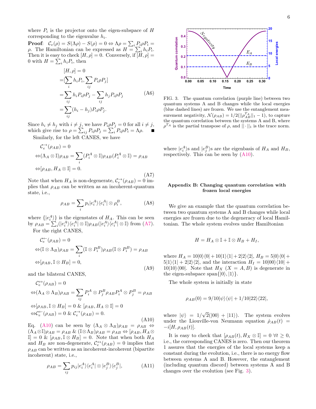where  $P_i$  is the projector onto the eigen-subspace of H corresponding to the eigenvalue  $h_i$ .

**Proof:**  $C_e(\rho) = S(\Lambda \rho) - S(\rho) = 0 \Leftrightarrow \Lambda \rho = \sum_i P_i \rho P_i =$ ρ. The Hamiltonian can be expressed as  $H = \sum_i h_i P_i$ . Then it is easy to check  $[H, \rho] = 0$ . Conversely, if  $[H, \rho] =$ 0 with  $H = \sum_i h_i P_i$ , then

$$
[H, \rho] = 0
$$
  
\n
$$
= [\sum_{i} h_i P_i, \sum_{ij} P_i \rho P_j]
$$
  
\n
$$
= \sum_{ij} h_i P_i \rho P_j - \sum_{ij} h_j P_i \rho P_j
$$
  
\n
$$
= \sum_{ij} (h_i - h_j) P_i \rho P_j.
$$
 (A6)

Since  $h_i \neq h_j$  with  $i \neq j$ , we have  $P_i \rho P_j = 0$  for all  $i \neq j$ , which give rise to  $\rho = \sum_{ij} P_i \rho P_j = \sum_i P_i \rho P_i = \Lambda \rho$ .

Similarly, for the left CANES, we have

<span id="page-7-1"></span>
$$
\mathcal{C}_e^{\to}(\rho_{AB}) = 0
$$
  
\n
$$
\Leftrightarrow (\Lambda_A \otimes \mathbb{I})\rho_{AB} = \sum_i (P_i^A \otimes \mathbb{I})\rho_{AB}(P_i^A \otimes \mathbb{I}) = \rho_{AB}
$$
  
\n
$$
\Leftrightarrow [\rho_{AB}, H_A \otimes \mathbb{I}] = 0.
$$
\n(A7)

Note that when  $H_A$  is non-degenerate,  $\mathcal{C}_e^{\rightarrow}(\rho_{AB}) = 0$  implies that  $\rho_{AB}$  can be written as an incoherent-quantum state, i.e.,

$$
\rho_{AB} = \sum_{i} p_i |e_i^A\rangle\langle e_i^A| \otimes \rho_i^B, \tag{A8}
$$

where  $\{|e_i^A\rangle\}$  is the eigenstates of  $H_A$ . This can be seen by  $\rho_{AB} = \sum_{i}^{\infty} (|e_i^A\rangle\langle e_i^A| \otimes \mathbb{I}) \rho_{AB}(|e_i^A\rangle\langle e_i^A| \otimes \mathbb{I})$  from [\(A7\)](#page-7-1). For the right CANES,

$$
\mathcal{C}_{e}^{\leftarrow}(\rho_{AB}) = 0
$$
  
\n
$$
\Leftrightarrow (\mathbb{I} \otimes \Lambda_{B})\rho_{AB} = \sum_{i} (\mathbb{I} \otimes P_{i}^{B})\rho_{AB} (\mathbb{I} \otimes P_{i}^{B}) = \rho_{AB}
$$
  
\n
$$
\Leftrightarrow [\rho_{AB}, \mathbb{I} \otimes H_{B}] = 0,
$$
\n(A9)

and the bilateral CANES,

<span id="page-7-2"></span>
$$
\mathcal{C}_e^{\leftrightarrow}(\rho_{AB}) = 0
$$
  
\n
$$
\Leftrightarrow (\Lambda_A \otimes \Lambda_B)\rho_{AB} = \sum_{ij} P_i^A \otimes P_j^B \rho_{AB} P_i^A \otimes P_j^B = \rho_{AB}
$$
  
\n
$$
\Leftrightarrow [\rho_{AB}, \mathbb{I} \otimes H_B] = 0 \& [\rho_{AB}, H_A \otimes \mathbb{I}] = 0
$$
  
\n
$$
\Leftrightarrow \mathcal{C}_e^{\leftarrow}(\rho_{AB}) = 0 \& \mathcal{C}_e^{\rightarrow}(\rho_{AB}) = 0.
$$
\n(A10)

Eq. [\(A10\)](#page-7-2) can be seen by  $(\Lambda_A \otimes \Lambda_B)\rho_{AB} = \rho_{AB} \Leftrightarrow$  $(\Lambda_A \otimes \mathbb{I})\rho_{AB} = \rho_{AB} \& (\mathbb{I} \otimes \Lambda_B)\rho_{AB} = \rho_{AB} \Leftrightarrow [\rho_{AB}, H_A \otimes$  $\mathbb{I} = 0 \& \left[ \rho_{AB}, \mathbb{I} \otimes H_B \right] = 0.$  Note that when both  $H_A$ and  $H_B$  are non-degenerate,  $C_e^{\leftrightarrow}(\rho_{AB}) = 0$  implies that  $\rho_{AB}$  can be written as an incoherent-incoherent (bipartite incoherent) state, i.e.,

$$
\rho_{AB} = \sum_{ij} p_{ij} |e_i^A\rangle\langle e_i^A| \otimes |e_j^B\rangle\langle e_j^B|,\tag{A11}
$$



<span id="page-7-3"></span>FIG. 3. The quantum correlation (purple line) between two quantum systems A and B changes while the local energies (blue dashed lines) are frozen. We use the entanglement measurement negativity,  $\mathcal{N}(\rho_{AB}) = 1/2(||\rho_{AB}^{T_A}||_1 - 1)$ , to capture the quantum correlation between the systems A and B, where  $\rho^{T_A}$  is the partial transpose of  $\rho$ , and  $|| \cdot ||_1$  is the trace norm.

where  $|e_i^A\rangle$ s and  $|e_j^B\rangle$ s are the eigenbasis of  $H_A$  and  $H_B$ , respectively. This can be seen by [\(A10\)](#page-7-2).

#### <span id="page-7-0"></span>Appendix B: Changing quantum correlation with frozen local energies

We give an example that the quantum correlation between two quantum systems A and B changes while local energies are frozen due to the degeneracy of local Hamiltonian. The whole system evolves under Hamiltonian

$$
H = H_A \otimes \mathbb{I} + \mathbb{I} \otimes H_B + H_I,
$$

where  $H_A = 10|0\rangle\langle 0| + 10|1\rangle\langle 1| + 2|2\rangle\langle 2|, H_B = 5|0\rangle\langle 0| +$  $5|1\rangle\langle 1| + 2|2\rangle\langle 2|$ , and the interaction  $H_I = 10|00\rangle\langle 10| +$  $10|10\rangle\langle00|$ . Note that  $H_X$   $(X = A, B)$  is degenerate in the eigen-subspace span $\{|0\rangle, |1\rangle\}.$ 

The whole system is initially in state

$$
\rho_{AB}(0) = 9/10|\psi\rangle\langle\psi| + 1/10|22\rangle\langle22|,
$$

where  $|\psi\rangle = 1/$ √  $2(|00\rangle + |11\rangle)$ . The system evolves under the Liouville-von Neumann equation  $\dot{\rho}_{AB}(t)$  =  $-i[H,\rho_{AB}(t)].$ 

It is easy to check that  $[\rho_{AB}(t), H_X \otimes \mathbb{I}] = 0 \ \forall t \geq 0$ , i.e., the corresponding CANES is zero. Then our theorem 1 assures that the energies of the local systems keep a constant during the evolution, i.e., there is no energy flow between systems A and B. However, the entanglement (including quantum discord) between systems A and B changes over the evolution (see Fig. [3\)](#page-7-3).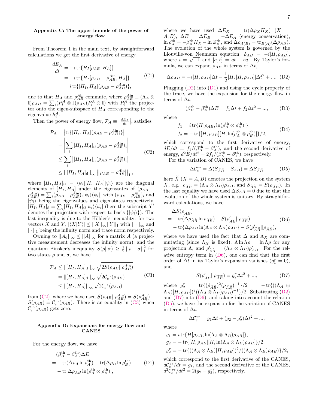#### <span id="page-8-0"></span>Appendix C: The upper bounds of the power of energy flow

From Theorem 1 in the main text, by straightforward calculations we get the first derivative of energy,

$$
\frac{dE_A}{dt} = -i \operatorname{tr} \{ H_I[\rho_{AB}, H_A] \} \n= -i \operatorname{tr} \{ H_I[\rho_{AB} - \rho_{AB}^{\text{Ain}}, H_A] \} \tag{C1} \n= i \operatorname{tr} \{ [H_I, H_A] (\rho_{AB} - \rho_{AB}^{\text{Ain}}) \},
$$

due to that  $H_A$  and  $\rho_{AB}^{A\text{in}}$  commute, where  $\rho_{AB}^{A\text{in}} \equiv (\Lambda_A \otimes$  $\mathbb{I}(\rho_{AB}) = \sum_i (P_i^A \otimes \mathbb{I}) \rho_{AB}(P_i^A \otimes \mathbb{I})$  with  $P_i^{A}$  the projector onto the eigen-subspace of  $H_A$  corresponding to the eigenvalue  $h_i^A$ .

Then the power of energy flow,  $\mathcal{P}_A \equiv \left| \frac{dE_A}{dt} \right|$ , satisfies

<span id="page-8-2"></span>
$$
\mathcal{P}_A = \left| \text{tr}\{ [H_I, H_A] (\rho_{AB} - \rho_{AB}^{\text{Ain}}) \} \right|
$$
  
\n
$$
= \left| \sum_i [H_I, H_A]_{ii} (\rho_{AB} - \rho_{AB}^{\text{Ain}})_{i} \right|
$$
  
\n
$$
\leq \sum_i \left| [H_I, H_A]_{ii} (\rho_{AB} - \rho_{AB}^{\text{Ain}})_{i} \right|
$$
  
\n
$$
\leq ||[H_I, H_A]_{d}||_{\infty} ||\rho_{AB} - \rho_{AB}^{\text{Ain}}||_{1},
$$
  
\n(C2)

where  $[H_I, H_A]_{ii} = \langle \psi_i | [H_I, H_A] | \psi_i \rangle$  are the diagonal elements of  $[H_I, H_A]$  under the eigenstates of  $(\rho_{AB}$  –  $\rho_{AB}^{A\text{in}}$ ) =  $\sum_i(\rho_{AB} - \rho_{AB}^{A\text{in}})_i|\psi_i\rangle\langle\psi_i|$ , with  $(\rho_{AB} - \rho_{AB}^{A\text{in}})_i$  and  $|\psi_i\rangle$  being the eigenvalues and eigenstates respectively,  $[H_I, H_A]_d = \sum_i [H_I, H_A]_{ii} |\psi_i\rangle\langle\psi_i|$  (here the subscript 'd' denotes the projection with respect to basis  $\{|\psi_i\rangle\}$ . The last inequality is due to the Hölder's inequality: for two vectors X and Y,  $|\langle X|Y \rangle| \leq ||X||_{\infty}||Y||_1$  with  $||\cdot||_{\infty}$  and  $||\cdot||_1$  being the infinity norm and trace norm respectively.

Owning to  $||A_d||_{\infty} \leq ||A||_{\infty}$  for a matrix A (a projective measurement decreases the infinity norm), and the quantum Pinsker's inequality  $S(\rho || \sigma) \geq \frac{1}{2} || \rho - \sigma ||_1^2$  for two states  $\rho$  and  $\sigma$ , we have

<span id="page-8-3"></span>
$$
\mathcal{P}_A \leq ||[H_I, H_A]_{\mathrm{d}}||_{\infty} \sqrt{2S(\rho_{AB}||\rho_{AB}^{\mathrm{Ain}})}
$$
  
=  $||[H_I, H_A]_{\mathrm{d}}||_{\infty} \sqrt{2\mathcal{C}_e^{\to}(\rho_{AB})}$  (C3)  
 $\leq ||[H_I, H_A]||_{\infty} \sqrt{2\mathcal{C}_e^{\to}(\rho_{AB})}$ 

from [\(C2\)](#page-8-2), where we have used  $S(\rho_{AB}|| \rho_{AB}^{A\text{in}}) = S(\rho_{AB}^{A\text{in}}) S(\rho_{AB}) = C_e^{\rightarrow}(\rho_{AB})$ . There is an equality in [\(C3\)](#page-8-3) when  $\mathcal{C}_e^{\rightarrow}(\rho_{AB})$  gets zero.

#### <span id="page-8-1"></span>Appendix D: Expansions for energy flow and CANES

For the energy flow, we have

<span id="page-8-5"></span>
$$
\begin{aligned} &\left(\beta_B^{\text{th}} - \beta_A^{\text{th}}\right) \Delta E \\ &= -\operatorname{tr}(\Delta \rho_A \ln \rho_A^{\text{th}}) - \operatorname{tr}(\Delta \rho_B \ln \rho_B^{\text{th}}) \qquad (D1) \\ &= -\operatorname{tr}[\Delta \rho_{AB} \ln(\rho_A^{\text{th}} \otimes \rho_B^{\text{th}})], \end{aligned}
$$

where we have used  $\Delta E_X$  = tr( $\Delta \rho_X H_X$ ) (X = A, B),  $\Delta E = \Delta E_B = -\Delta E_A$  (energy conservation),  $\ln \rho_X^{\text{th}} = -\beta_X^{\text{th}} H_X - \ln Z_X^{\text{th}}$ , and  $\Delta \rho_{A(B)} = \text{tr}_{B(A)}(\Delta \rho_{AB})$ . The evolution of the whole system is governed by the Liouville-von Neumann equation,  $\rho_{AB} = -i[H, \rho_{AB}],$ where  $i = \sqrt{-1}$  and  $[a, b] = ab - ba$ . By Taylor's formula, we can expand  $\rho_{AB}$  in terms of  $\Delta t$ ,

<span id="page-8-4"></span>
$$
\Delta \rho_{AB} = -i[H, \rho_{AB}]\Delta t - \frac{1}{2}[H, [H, \rho_{AB}]]\Delta t^2 + \dots (D2)
$$

Plugging [\(D2\)](#page-8-4) into [\(D1\)](#page-8-5) and using the cycle property of the trace, we have the expansion for the energy flow in terms of  $\Delta t$ ,

$$
(\beta_B^{\text{th}} - \beta_A^{\text{th}})\Delta E = f_1 \Delta t + f_2 \Delta t^2 + ..., \qquad (D3)
$$

where

$$
f_1 = i \operatorname{tr} \{ H[\rho_{AB}, \ln(\rho_A^{\text{th}} \otimes \rho_B^{\text{th}})] \},
$$
  
\n
$$
f_2 = -\operatorname{tr} \{ [H, \rho_{AB}][H, \ln(\rho_A^{\text{th}} \otimes \rho_B^{\text{th}})] \}/2,
$$
\n(D4)

which correspond to the first derivative of energy,  $dE/dt = f_1/(\beta_B^{\text{th}} - \beta_A^{\text{th}})$ , and the second derivative of energy,  $d^2E/dt^2 = 2f_2/(\beta_B^{\text{th}} - \beta_A^{\text{th}})$ , respectively. For the variation of CANES, we have

<span id="page-8-8"></span>
$$
\Delta \mathcal{C}_e^{\leftrightarrow} = \Delta (S_{\widetilde{A}\widetilde{B}} - S_{AB}) = \Delta S_{\widetilde{A}\widetilde{B}},\tag{D5}
$$

here  $\tilde{X}(X = A, B)$  denotes the projection on the system X, e.g.,  $\rho_{\widetilde{A}\widetilde{B}} = (\Lambda_A \otimes \Lambda_B)\rho_{AB}$ , and  $S_{\widetilde{A}\widetilde{B}} = S(\rho_{\widetilde{A}\widetilde{B}})$ . In the last equality we have used  $\Delta S_{AB} = 0$  due to that the evolution of the whole system is unitary. By straightforward calculations, we have

<span id="page-8-6"></span>
$$
\Delta S(\rho_{\widetilde{A}\widetilde{B}}) = -\operatorname{tr}(\Delta \rho_{\widetilde{A}\widetilde{B}} \ln \rho_{\widetilde{A}\widetilde{B}}) - S(\rho'_{\widetilde{A}\widetilde{B}} || \rho_{\widetilde{A}\widetilde{B}}) \n= -\operatorname{tr}\{\Delta \rho_{AB} \ln(\Lambda_A \otimes \Lambda_B) \rho_{AB}\} - S(\rho'_{\widetilde{A}\widetilde{B}} || \rho_{\widetilde{A}\widetilde{B}}),
$$
\n(D6)

where we have used the fact that  $\Delta$  and  $\Lambda_X$  are commutating (since  $\Lambda_X$  is fixed),  $\Lambda \ln \Lambda \rho = \ln \Lambda \rho$  for any projection  $\Lambda$ , and  $\rho'_{\widetilde{AB}} = (\Lambda_A \otimes \Lambda_B)\rho'_{AB}$ . For the relative entropy term in (DC), and son find that the first ative entropy term in  $(D6)$ , one can find that the first order of  $\Delta t$  in its Taylor's expansion vanishes  $(g_1^r = 0)$ , and

<span id="page-8-7"></span>
$$
S(\rho'_{\widetilde{A}\widetilde{B}}||\rho_{\widetilde{A}\widetilde{B}}) = g_2^r \Delta t^2 + ..., \tag{D7}
$$

where  $g_2^r = \text{tr}\{(\rho_{\widetilde{A}\widetilde{B}})^2(\rho_{\widetilde{A}\widetilde{B}})^{-1}\}/2 = -\text{tr}\{((\Lambda_A \otimes$  $(\Lambda_B)[H, \rho_{AB}]^2((\Lambda_A \otimes \Lambda_B)\rho_{AB})^{-1}/2$ . Substituting [\(D2\)](#page-8-4) and  $(D7)$  into  $(D6)$ , and taking into account the relation [\(D5\)](#page-8-8), we have the expansion for the variation of CANES in terms of  $\Delta t$ ,

 $\Delta \mathcal{C}_e^{\leftrightarrow} = g_1 \Delta t + (g_2 - g_2^r) \Delta t^2 + ...,$ 

where

$$
g_1 = i \operatorname{tr} \{ H[\rho_{AB}, \ln(\Lambda_A \otimes \Lambda_B)\rho_{AB}] \},
$$
  
\n
$$
g_2 = -\operatorname{tr} \{ [H, \rho_{AB}] [H, \ln(\Lambda_A \otimes \Lambda_B)\rho_{AB}] \}/2,
$$
  
\n
$$
g_2^r = -\operatorname{tr} \{ ((\Lambda_A \otimes \Lambda_B)[H, \rho_{AB}])^2 / ((\Lambda_A \otimes \Lambda_B)\rho_{AB}) \}/2,
$$

which correspond to the first derivative of the CANES,  $d\mathcal{C}^{\leftrightarrow}_e/dt = g_1$ , and the second derivative of the CANES,  $d^2\tilde{\mathcal{C}}_e^{\leftrightarrow}/dt^2=2(g_2-g_2^r)$ , respectively.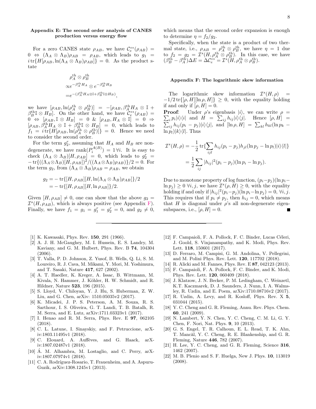#### <span id="page-9-22"></span>Appendix E: The second order analysis of CANES production versus energy flow

For a zero CANES state  $\rho_{AB}$ , we have  $\mathcal{C}^{\leftrightarrow}_e(\rho_{AB})$  =  $0 \Leftrightarrow (\Lambda_A \otimes \Lambda_B)\rho_{AB} = \rho_{AB}$ , which leads to  $g_1$  $i \text{tr} \{H[\rho_{AB}, \ln(\Lambda_A \otimes \Lambda_B)\rho_{AB}]\} = 0$ . As the product state

$$
\rho_A^{\text{th}} \otimes \rho_B^{\text{th}}
$$
  
\n
$$
\propto e^{-\beta_A^{\text{th}}H_A} \otimes e^{-\beta_B^{\text{th}}H_B}
$$
  
\n
$$
= e^{-(\beta_A^{\text{th}}H_A \otimes \mathbb{I} + \beta_B^{\text{th}} \mathbb{I} \otimes H_B)},
$$

we have  $[\rho_{AB}, \ln(\rho_A^{\text{th}} \otimes \rho_B^{\text{th}})] = -[\rho_{AB}, \beta_A^{\text{th}} H_A \otimes \mathbb{I} +$  $\beta_B^{\text{th}} \mathbb{I} \otimes H_B$ . On the other hand, we have  $\mathcal{C}^{\leftrightarrow}_e(\rho_{AB}) =$  $\begin{bmatrix} 0 & \leftrightarrow & \rho_{AB}, \mathbb{I} \otimes H_B \end{bmatrix} = 0 \& \begin{bmatrix} \rho_{AB}, H_A \otimes \mathbb{I} \end{bmatrix} = 0 \Rightarrow$  $[\rho_{AB}, \beta_A^{\text{th}} H_A \otimes \mathbb{I} + \beta_B^{\text{th}} \mathbb{I} \otimes H_B] = 0$ , which leads to  $f_1 = i \text{tr} \{ H[\rho_{AB}, \ln(\rho_A^{\text{th}} \otimes \rho_B^{\text{th}})] \} = 0$ . Hence we need to consider the second order.

For the term  $g_2^r$ , assuming that  $H_A$  and  $H_B$  are nondegenerate, we have  $\text{rank}(P_i^{A(B)}) = 1 \forall i$ . It is easy to check  $(\Lambda_A \otimes \Lambda_B)[H, \rho_{AB}] = 0$ , which leads to  $g_2^r =$  $-\text{tr}\{((\Lambda_A\otimes \Lambda_B)[H,\rho_{AB}])^2/((\Lambda_A\otimes \Lambda_B)\rho_{AB})\}/2=0.$  For the term  $g_2$ , from  $(\Lambda_A \otimes \Lambda_B)\rho_{AB} = \rho_{AB}$ , we obtain

$$
g_2 = -\operatorname{tr}\{[H, \rho_{AB}][H, \ln(\Lambda_A \otimes \Lambda_B)\rho_{AB}]\}/2
$$
  
= 
$$
-\operatorname{tr}\{[H, \rho_{AB}][H, \ln \rho_{AB}]\}/2.
$$

Given  $[H, \rho_{AB}] \neq 0$ , one can show that the above  $g_2 =$  $\mathcal{I}^s(H,\rho_{AB}),$  which is always positive (see Appendix [F\)](#page-9-23). Finally, we have  $f_1 = g_1 = g_1^r = g_2^r = 0$ , and  $g_2 \neq 0$ ,

- <span id="page-9-0"></span>[1] K. Kawasaki, Phys. Rev. **150**, 291 (1966).
- <span id="page-9-1"></span>[2] A. J. H. McGaughey, M. I. Hussein, E. S. Landry, M. Kaviany, and G. M. Hulbert, Phys. Rev. B 74, 104304 (2006).
- <span id="page-9-2"></span>[3] T. Valla, P. D. Johnson, Z. Yusof, B. Wells, Q. Li, S. M. Loureiro, R. J. Cava, M. Mikami, Y. Mori, M. Yoshimura, and T. Sasaki, Nature 417, 627 (2002).
- <span id="page-9-3"></span>[4] A. T. Haedler, K. Kreger, A. Issac, B. Wittmann, M. Kivala, N. Hammer, J. Köhler, H. W. Schmidt, and R. Hildner, Nature 523, 196 (2015).
- <span id="page-9-4"></span>[5] S. Lloyd, V. Chiloyan, Y. J. Hu, S. Huberman, Z. W. Liu, and G. Chen, arXiv: 1510.05035v2 (2017).
- <span id="page-9-5"></span>[6] K. Micadei, J. P. S. Peterson, A. M. Souza, R. S. Sarthour, I. S. Oliveira, G. T. Landi, T. B. Batalh, R. M. Serra, and E. Lutz, arXiv:1711.03323v1 (2017).
- <span id="page-9-6"></span>[7] I. Henao and R. M. Serra, Phys. Rev. E 97, 062105 (2018).
- <span id="page-9-7"></span>[8] C. L. Latune, I. Sinayskiy, and F. Petruccione, arXiv:1803.11495v1 (2018).
- <span id="page-9-8"></span>[9] C. Elouard, A. Auffèves, and G. Haack, arXiv:1807.02487v1 (2018).
- <span id="page-9-9"></span>[10] Á. M. Alhambra, M. Lostaglio, and C. Perry, arXiv:1807.07974v1 (2018).
- <span id="page-9-10"></span>[11] C. A. Rodríguez-Rosario, T. Frauenheim, and A. Aspuru-Guzik, arXiv:1308.1245v1 (2013).

which means that the second order expansion is enough to determine  $\eta = f_2/g_2$ .

Specifically, when the state is a product of two thermal state, i.e.,  $\rho_{AB} = \rho_A^{\text{th}} \otimes \rho_B^{\text{th}}$ , we have  $\eta = 1$  due to  $f_2 = g_2 = \mathcal{I}^s(H, \rho_A^{\text{th}} \otimes \rho_B^{\text{th}})$ . In this case, we have  $(\beta_B^{\text{th}} - \beta_A^{\text{th}})\Delta E = \Delta C_e^{\leftrightarrow} = \mathcal{I}^s(H, \rho_A^{\text{th}} \otimes \rho_B^{\text{th}}).$ 

#### <span id="page-9-23"></span>Appendix F: The logarithmic skew information

The logarithmic skew information  $\mathcal{I}^s(H,\rho)$  =  $-1/2 \text{ tr}\{[\rho, H] [\ln \rho, H] \} \geq 0$ , with the equality holding if and only if  $[\rho, H] = 0$ .

 $\sum_i p_i|i\rangle\langle i|$  and  $H = \sum_{ij} h_{ij}|i\rangle\langle j|$ . Hence  $[\rho, H] =$ **Proof:** Under  $\rho$ 's eigenbasis  $|i\rangle$ , we can write  $\rho =$  $\sum_{ij} h_{ij} (p_i - p_j) |i\rangle\langle j|$ , and  $[\ln \rho, H] = \sum_{kl} h_{kl} (\ln p_k \ln p_l|k\rangle\langle l|$ . Thus

$$
\mathcal{I}^s(H,\rho) = -\frac{1}{2} \operatorname{tr} \{ \sum_{ijl} h_{ij} (p_i - p_j) h_{jl} (\ln p_j - \ln p_l) |i\rangle\langle l| \}
$$

$$
= \frac{1}{2} \sum_{ij} |h_{ij}|^2 (p_i - p_j) (\ln p_i - \ln p_j).
$$

Due to monotone property of log function,  $(p_i-p_j)(\ln p_i-\ln p_j)$  $\ln p_j$ )  $\geq 0$   $\forall i, j$ , we have  $\mathcal{I}^s(\rho, H) \geq 0$ , with the equality holding if and only if  $|h_{ij}|^2(p_i-p_j)(\ln p_i-\ln p_j)=0, \forall i, j$ . This requires that if  $p_i \neq p_j$ , then  $h_{ij} = 0$ , which means that H is diagonal under  $\rho$ 's all non-degenerate eigensubspaces, i.e.,  $[\rho, H] = 0$ .

- <span id="page-9-11"></span>[12] F. Campaioli, F. A. Pollock, F. C. Binder, Lucas Céleri, J. Goold, S. Vinjanampathy, and K. Modi, Phys. Rev. Lett. 118, 150601 (2017).
- <span id="page-9-12"></span>[13] D. Ferraro, M. Campisi, G. M. Andolina, V. Pellegrini, and M. Polini Phys. Rev. Lett. 120, 117702 (2018).
- <span id="page-9-14"></span><span id="page-9-13"></span>[14] R. Alicki and M. Fannes, Phys. Rev. E 87, 042123 (2013). [15] F. Campaioli, F. A. Pollock, F. C. Binder, and K. Modi, Phys. Rev. Lett. 120, 060409 (2018).
- <span id="page-9-15"></span>[16] J. Klatzow, J. N. Becker, P. M. Ledingham, C. Weinzetl, K.T. Kaczmarek, D. J. Saunders, J. Nunn, I. A. Walmsley, R. Uzdin, and E. Poem, arXiv:1710.08716v2 (2017).
- <span id="page-9-16"></span>[17] R. Uzdin, A. Levy, and R. Kosloff, Phys. Rev. X 5, 031044 (2015).
- <span id="page-9-17"></span>[18] Y. C. Cheng and G. R. Fleming, Annu. Rev. Phys. Chem. 60, 241 (2009).
- <span id="page-9-18"></span>[19] N. Lambert, Y. N. Chen, Y. C. Cheng, C. M. Li, G. Y. Chen, F. Nori, Nat. Phys. 9, 10 (2013).
- <span id="page-9-19"></span>[20] G. S. Engel, T. R. Calhoun, E. L. Read, T. K. Ahn, T. Mancăl, Y. C. Cheng, R. E. Blankenship, and G. R. Fleming, Nature 446, 782 (2007).
- <span id="page-9-20"></span>[21] H. Lee, Y. C. Cheng, and G. R. Fleming, Science 316, 1462 (2007).
- <span id="page-9-21"></span>[22] M. B. Plenio and S. F. Huelga, New J. Phys. 10, 113019 (2008).